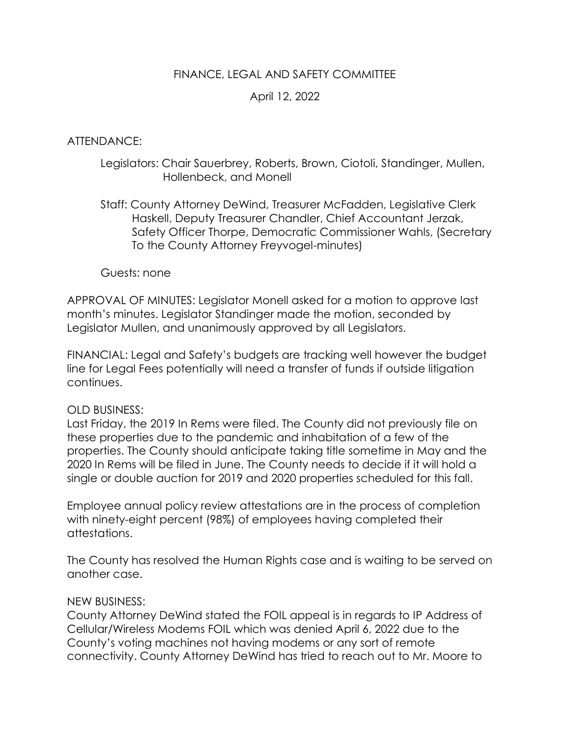# FINANCE, LEGAL AND SAFETY COMMITTEE

# April 12, 2022

### ATTENDANCE:

## Legislators: Chair Sauerbrey, Roberts, Brown, Ciotoli, Standinger, Mullen, Hollenbeck, and Monell

Staff: County Attorney DeWind, Treasurer McFadden, Legislative Clerk Haskell, Deputy Treasurer Chandler, Chief Accountant Jerzak, Safety Officer Thorpe, Democratic Commissioner Wahls, (Secretary To the County Attorney Freyvogel-minutes)

### Guests: none

APPROVAL OF MINUTES: Legislator Monell asked for a motion to approve last month's minutes. Legislator Standinger made the motion, seconded by Legislator Mullen, and unanimously approved by all Legislators.

FINANCIAL: Legal and Safety's budgets are tracking well however the budget line for Legal Fees potentially will need a transfer of funds if outside litigation continues.

### OLD BUSINESS:

Last Friday, the 2019 In Rems were filed. The County did not previously file on these properties due to the pandemic and inhabitation of a few of the properties. The County should anticipate taking title sometime in May and the 2020 In Rems will be filed in June. The County needs to decide if it will hold a single or double auction for 2019 and 2020 properties scheduled for this fall.

Employee annual policy review attestations are in the process of completion with ninety-eight percent (98%) of employees having completed their attestations.

The County has resolved the Human Rights case and is waiting to be served on another case.

### NEW BUSINESS:

County Attorney DeWind stated the FOIL appeal is in regards to IP Address of Cellular/Wireless Modems FOIL which was denied April 6, 2022 due to the County's voting machines not having modems or any sort of remote connectivity. County Attorney DeWind has tried to reach out to Mr. Moore to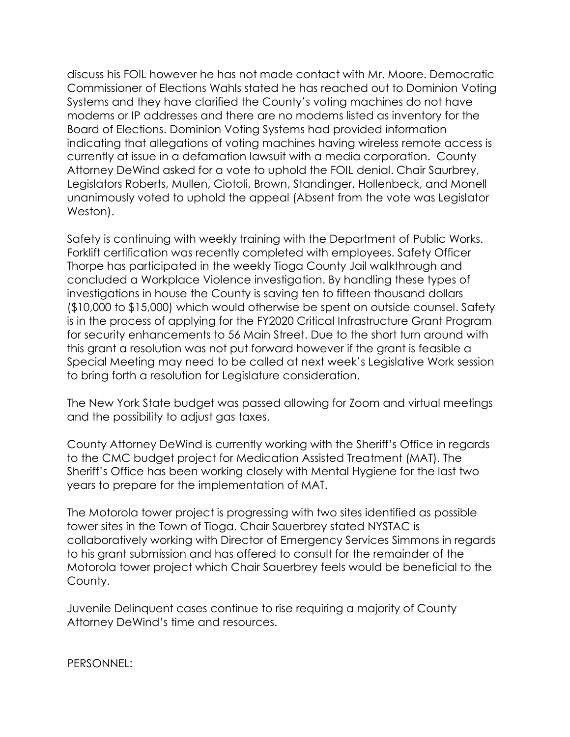discuss his FOIL however he has not made contact with Mr. Moore. Democratic Commissioner of Elections Wahls stated he has reached out to Dominion Voting Systems and they have clarified the County's voting machines do not have modems or IP addresses and there are no modems listed as inventory for the Board of Elections. Dominion Voting Systems had provided information indicating that allegations of voting machines having wireless remote access is currently at issue in a defamation lawsuit with a media corporation. County Attorney DeWind asked for a vote to uphold the FOIL denial. Chair Saurbrey, Legislators Roberts, Mullen, Ciotoli, Brown, Standinger, Hollenbeck, and Monell unanimously voted to uphold the appeal (Absent from the vote was Legislator Weston).

Safety is continuing with weekly training with the Department of Public Works. Forklift certification was recently completed with employees. Safety Officer Thorpe has participated in the weekly Tioga County Jail walkthrough and concluded a Workplace Violence investigation. By handling these types of investigations in house the County is saving ten to fifteen thousand dollars (\$10,000 to \$15,000) which would otherwise be spent on outside counsel. Safety is in the process of applying for the FY2020 Critical Infrastructure Grant Program for security enhancements to 56 Main Street. Due to the short turn around with this grant a resolution was not put forward however if the grant is feasible a Special Meeting may need to be called at next week's Legislative Work session to bring forth a resolution for Legislature consideration.

The New York State budget was passed allowing for Zoom and virtual meetings and the possibility to adjust gas taxes.

County Attorney DeWind is currently working with the Sheriff's Office in regards to the CMC budget project for Medication Assisted Treatment (MAT). The Sheriff's Office has been working closely with Mental Hygiene for the last two years to prepare for the implementation of MAT.

The Motorola tower project is progressing with two sites identified as possible tower sites in the Town of Tioga. Chair Sauerbrey stated NYSTAC is collaboratively working with Director of Emergency Services Simmons in regards to his grant submission and has offered to consult for the remainder of the Motorola tower project which Chair Sauerbrey feels would be beneficial to the County.

Juvenile Delinquent cases continue to rise requiring a majority of County Attorney DeWind's time and resources.

PERSONNEL: